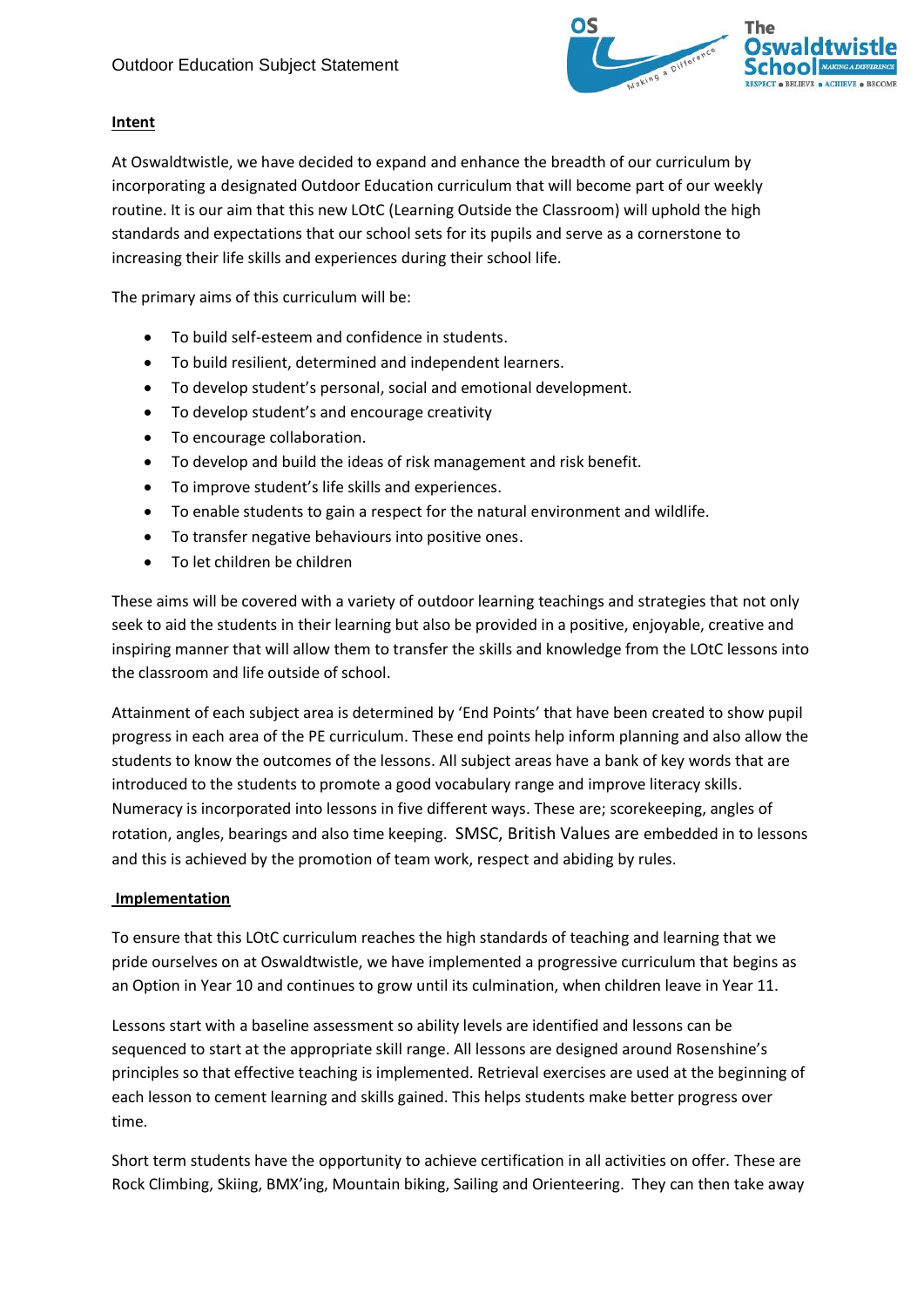

## **Intent**

At Oswaldtwistle, we have decided to expand and enhance the breadth of our curriculum by incorporating a designated Outdoor Education curriculum that will become part of our weekly routine. It is our aim that this new LOtC (Learning Outside the Classroom) will uphold the high standards and expectations that our school sets for its pupils and serve as a cornerstone to increasing their life skills and experiences during their school life.

The primary aims of this curriculum will be:

- To build self-esteem and confidence in students.
- To build resilient, determined and independent learners.
- To develop student's personal, social and emotional development.
- To develop student's and encourage creativity
- To encourage collaboration.
- To develop and build the ideas of risk management and risk benefit.
- To improve student's life skills and experiences.
- To enable students to gain a respect for the natural environment and wildlife.
- To transfer negative behaviours into positive ones.
- To let children be children

These aims will be covered with a variety of outdoor learning teachings and strategies that not only seek to aid the students in their learning but also be provided in a positive, enjoyable, creative and inspiring manner that will allow them to transfer the skills and knowledge from the LOtC lessons into the classroom and life outside of school.

Attainment of each subject area is determined by 'End Points' that have been created to show pupil progress in each area of the PE curriculum. These end points help inform planning and also allow the students to know the outcomes of the lessons. All subject areas have a bank of key words that are introduced to the students to promote a good vocabulary range and improve literacy skills. Numeracy is incorporated into lessons in five different ways. These are; scorekeeping, angles of rotation, angles, bearings and also time keeping. SMSC, British Values are embedded in to lessons and this is achieved by the promotion of team work, respect and abiding by rules.

## **Implementation**

To ensure that this LOtC curriculum reaches the high standards of teaching and learning that we pride ourselves on at Oswaldtwistle, we have implemented a progressive curriculum that begins as an Option in Year 10 and continues to grow until its culmination, when children leave in Year 11.

Lessons start with a baseline assessment so ability levels are identified and lessons can be sequenced to start at the appropriate skill range. All lessons are designed around Rosenshine's principles so that effective teaching is implemented. Retrieval exercises are used at the beginning of each lesson to cement learning and skills gained. This helps students make better progress over time.

Short term students have the opportunity to achieve certification in all activities on offer. These are Rock Climbing, Skiing, BMX'ing, Mountain biking, Sailing and Orienteering. They can then take away